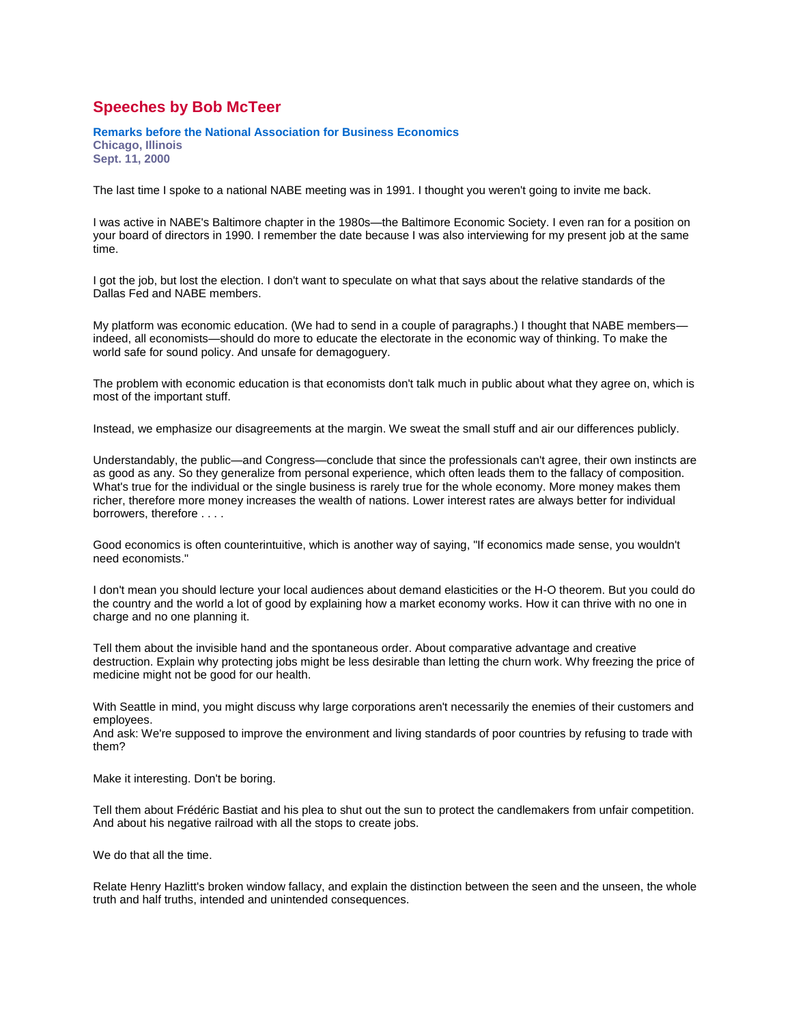## **Speeches by Bob McTeer**

**Remarks before the National Association for Business Economics Chicago, Illinois**

**Sept. 11, 2000**

The last time I spoke to a national NABE meeting was in 1991. I thought you weren't going to invite me back.

I was active in NABE's Baltimore chapter in the 1980s—the Baltimore Economic Society. I even ran for a position on your board of directors in 1990. I remember the date because I was also interviewing for my present job at the same time.

I got the job, but lost the election. I don't want to speculate on what that says about the relative standards of the Dallas Fed and NABE members.

My platform was economic education. (We had to send in a couple of paragraphs.) I thought that NABE members indeed, all economists—should do more to educate the electorate in the economic way of thinking. To make the world safe for sound policy. And unsafe for demagoguery.

The problem with economic education is that economists don't talk much in public about what they agree on, which is most of the important stuff.

Instead, we emphasize our disagreements at the margin. We sweat the small stuff and air our differences publicly.

Understandably, the public—and Congress—conclude that since the professionals can't agree, their own instincts are as good as any. So they generalize from personal experience, which often leads them to the fallacy of composition. What's true for the individual or the single business is rarely true for the whole economy. More money makes them richer, therefore more money increases the wealth of nations. Lower interest rates are always better for individual borrowers, therefore . . . .

Good economics is often counterintuitive, which is another way of saying, "If economics made sense, you wouldn't need economists."

I don't mean you should lecture your local audiences about demand elasticities or the H-O theorem. But you could do the country and the world a lot of good by explaining how a market economy works. How it can thrive with no one in charge and no one planning it.

Tell them about the invisible hand and the spontaneous order. About comparative advantage and creative destruction. Explain why protecting jobs might be less desirable than letting the churn work. Why freezing the price of medicine might not be good for our health.

With Seattle in mind, you might discuss why large corporations aren't necessarily the enemies of their customers and employees.

And ask: We're supposed to improve the environment and living standards of poor countries by refusing to trade with them?

Make it interesting. Don't be boring.

Tell them about Frédéric Bastiat and his plea to shut out the sun to protect the candlemakers from unfair competition. And about his negative railroad with all the stops to create jobs.

We do that all the time.

Relate Henry Hazlitt's broken window fallacy, and explain the distinction between the seen and the unseen, the whole truth and half truths, intended and unintended consequences.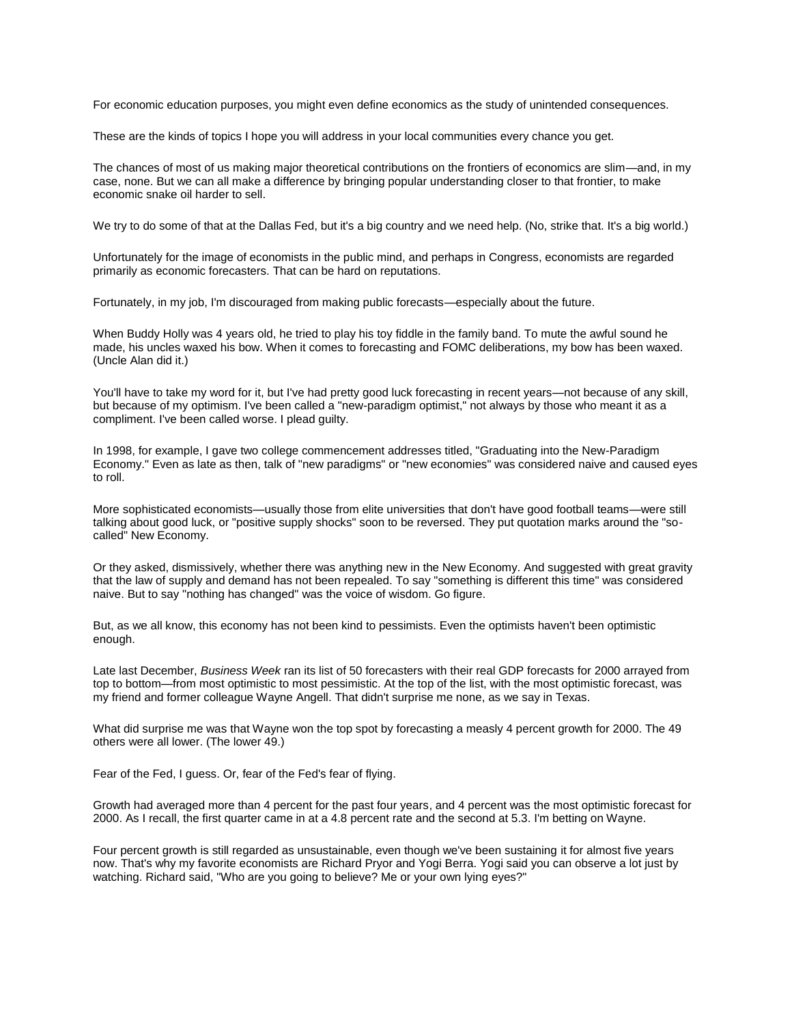For economic education purposes, you might even define economics as the study of unintended consequences.

These are the kinds of topics I hope you will address in your local communities every chance you get.

The chances of most of us making major theoretical contributions on the frontiers of economics are slim—and, in my case, none. But we can all make a difference by bringing popular understanding closer to that frontier, to make economic snake oil harder to sell.

We try to do some of that at the Dallas Fed, but it's a big country and we need help. (No, strike that. It's a big world.)

Unfortunately for the image of economists in the public mind, and perhaps in Congress, economists are regarded primarily as economic forecasters. That can be hard on reputations.

Fortunately, in my job, I'm discouraged from making public forecasts—especially about the future.

When Buddy Holly was 4 years old, he tried to play his toy fiddle in the family band. To mute the awful sound he made, his uncles waxed his bow. When it comes to forecasting and FOMC deliberations, my bow has been waxed. (Uncle Alan did it.)

You'll have to take my word for it, but I've had pretty good luck forecasting in recent years—not because of any skill, but because of my optimism. I've been called a "new-paradigm optimist," not always by those who meant it as a compliment. I've been called worse. I plead guilty.

In 1998, for example, I gave two college commencement addresses titled, "Graduating into the New-Paradigm Economy." Even as late as then, talk of "new paradigms" or "new economies" was considered naive and caused eyes to roll.

More sophisticated economists—usually those from elite universities that don't have good football teams—were still talking about good luck, or "positive supply shocks" soon to be reversed. They put quotation marks around the "socalled" New Economy.

Or they asked, dismissively, whether there was anything new in the New Economy. And suggested with great gravity that the law of supply and demand has not been repealed. To say "something is different this time" was considered naive. But to say "nothing has changed" was the voice of wisdom. Go figure.

But, as we all know, this economy has not been kind to pessimists. Even the optimists haven't been optimistic enough.

Late last December, *Business Week* ran its list of 50 forecasters with their real GDP forecasts for 2000 arrayed from top to bottom—from most optimistic to most pessimistic. At the top of the list, with the most optimistic forecast, was my friend and former colleague Wayne Angell. That didn't surprise me none, as we say in Texas.

What did surprise me was that Wayne won the top spot by forecasting a measly 4 percent growth for 2000. The 49 others were all lower. (The lower 49.)

Fear of the Fed, I guess. Or, fear of the Fed's fear of flying.

Growth had averaged more than 4 percent for the past four years, and 4 percent was the most optimistic forecast for 2000. As I recall, the first quarter came in at a 4.8 percent rate and the second at 5.3. I'm betting on Wayne.

Four percent growth is still regarded as unsustainable, even though we've been sustaining it for almost five years now. That's why my favorite economists are Richard Pryor and Yogi Berra. Yogi said you can observe a lot just by watching. Richard said, "Who are you going to believe? Me or your own lying eyes?"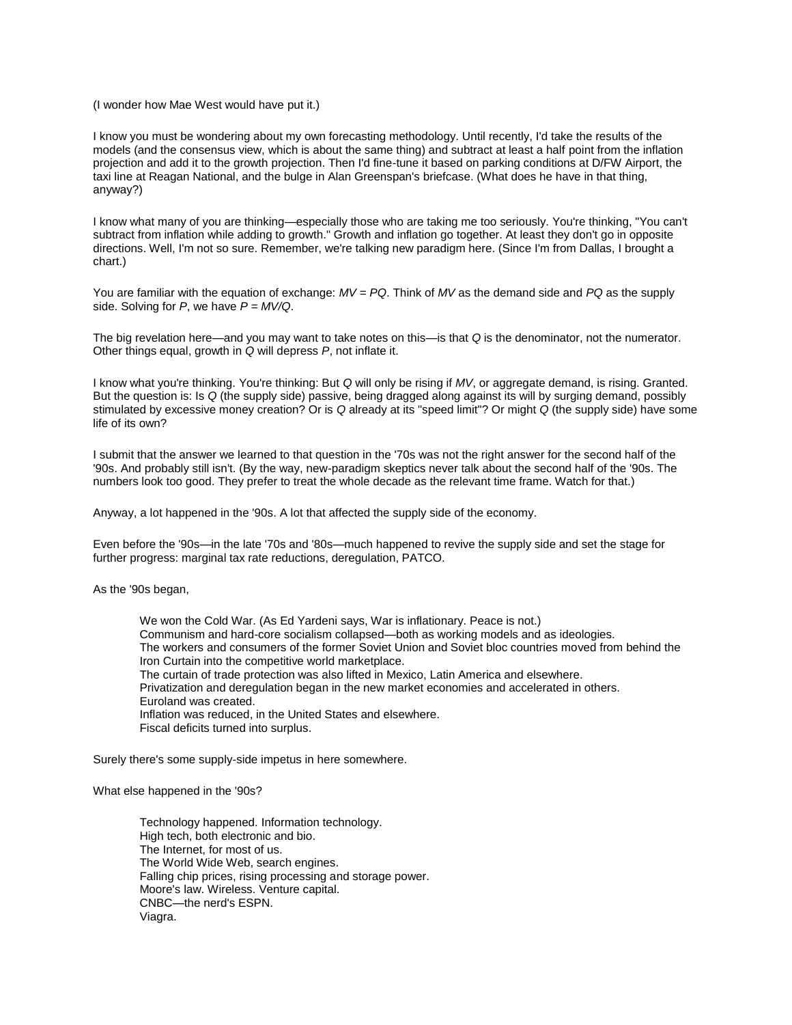(I wonder how Mae West would have put it.)

I know you must be wondering about my own forecasting methodology. Until recently, I'd take the results of the models (and the consensus view, which is about the same thing) and subtract at least a half point from the inflation projection and add it to the growth projection. Then I'd fine-tune it based on parking conditions at D/FW Airport, the taxi line at Reagan National, and the bulge in Alan Greenspan's briefcase. (What does he have in that thing, anyway?)

I know what many of you are thinking—especially those who are taking me too seriously. You're thinking, "You can't subtract from inflation while adding to growth." Growth and inflation go together. At least they don't go in opposite directions. Well, I'm not so sure. Remember, we're talking new paradigm here. (Since I'm from Dallas, I brought a chart.)

You are familiar with the equation of exchange: *MV = PQ*. Think of *MV* as the demand side and *PQ* as the supply side. Solving for *P*, we have *P = MV/Q*.

The big revelation here—and you may want to take notes on this—is that *Q* is the denominator, not the numerator. Other things equal, growth in *Q* will depress *P*, not inflate it.

I know what you're thinking. You're thinking: But *Q* will only be rising if *MV*, or aggregate demand, is rising. Granted. But the question is: Is *Q* (the supply side) passive, being dragged along against its will by surging demand, possibly stimulated by excessive money creation? Or is *Q* already at its "speed limit"? Or might *Q* (the supply side) have some life of its own?

I submit that the answer we learned to that question in the '70s was not the right answer for the second half of the '90s. And probably still isn't. (By the way, new-paradigm skeptics never talk about the second half of the '90s. The numbers look too good. They prefer to treat the whole decade as the relevant time frame. Watch for that.)

Anyway, a lot happened in the '90s. A lot that affected the supply side of the economy.

Even before the '90s—in the late '70s and '80s—much happened to revive the supply side and set the stage for further progress: marginal tax rate reductions, deregulation, PATCO.

As the '90s began,

We won the Cold War. (As Ed Yardeni says, War is inflationary. Peace is not.) Communism and hard-core socialism collapsed—both as working models and as ideologies. The workers and consumers of the former Soviet Union and Soviet bloc countries moved from behind the Iron Curtain into the competitive world marketplace. The curtain of trade protection was also lifted in Mexico, Latin America and elsewhere. Privatization and deregulation began in the new market economies and accelerated in others. Euroland was created. Inflation was reduced, in the United States and elsewhere. Fiscal deficits turned into surplus.

Surely there's some supply-side impetus in here somewhere.

What else happened in the '90s?

Technology happened. Information technology. High tech, both electronic and bio. The Internet, for most of us. The World Wide Web, search engines. Falling chip prices, rising processing and storage power. Moore's law. Wireless. Venture capital. CNBC—the nerd's ESPN. Viagra.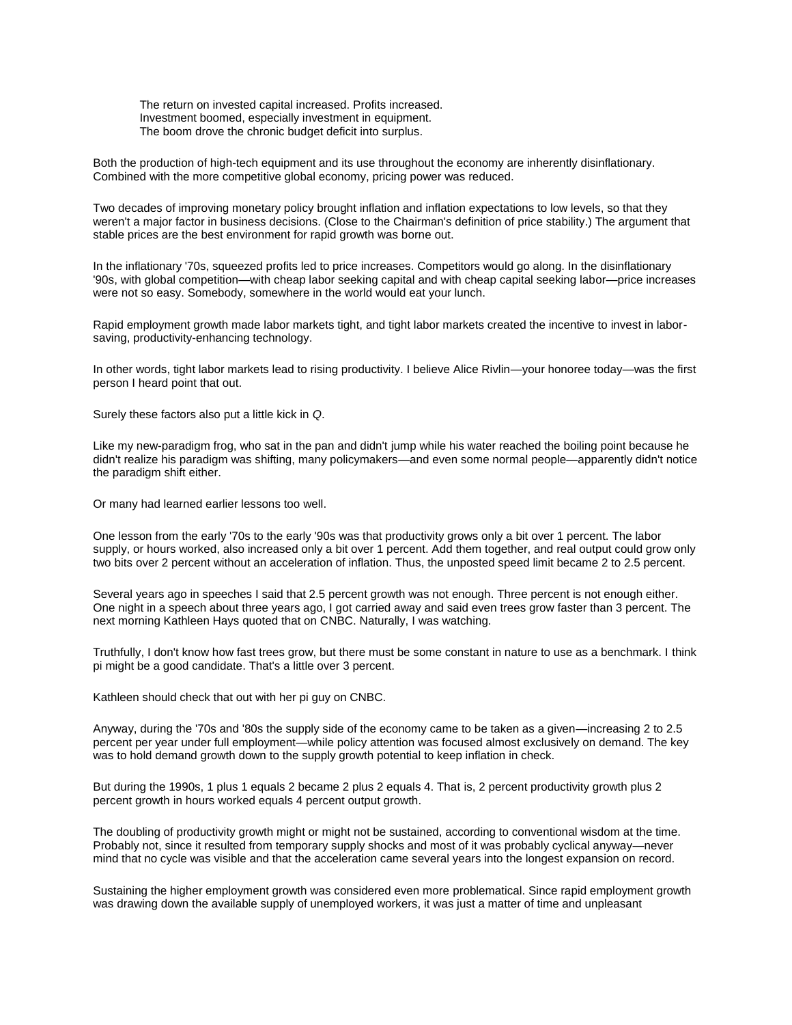The return on invested capital increased. Profits increased. Investment boomed, especially investment in equipment. The boom drove the chronic budget deficit into surplus.

Both the production of high-tech equipment and its use throughout the economy are inherently disinflationary. Combined with the more competitive global economy, pricing power was reduced.

Two decades of improving monetary policy brought inflation and inflation expectations to low levels, so that they weren't a major factor in business decisions. (Close to the Chairman's definition of price stability.) The argument that stable prices are the best environment for rapid growth was borne out.

In the inflationary '70s, squeezed profits led to price increases. Competitors would go along. In the disinflationary '90s, with global competition—with cheap labor seeking capital and with cheap capital seeking labor—price increases were not so easy. Somebody, somewhere in the world would eat your lunch.

Rapid employment growth made labor markets tight, and tight labor markets created the incentive to invest in laborsaving, productivity-enhancing technology.

In other words, tight labor markets lead to rising productivity. I believe Alice Rivlin—your honoree today—was the first person I heard point that out.

Surely these factors also put a little kick in *Q*.

Like my new-paradigm frog, who sat in the pan and didn't jump while his water reached the boiling point because he didn't realize his paradigm was shifting, many policymakers—and even some normal people—apparently didn't notice the paradigm shift either.

Or many had learned earlier lessons too well.

One lesson from the early '70s to the early '90s was that productivity grows only a bit over 1 percent. The labor supply, or hours worked, also increased only a bit over 1 percent. Add them together, and real output could grow only two bits over 2 percent without an acceleration of inflation. Thus, the unposted speed limit became 2 to 2.5 percent.

Several years ago in speeches I said that 2.5 percent growth was not enough. Three percent is not enough either. One night in a speech about three years ago, I got carried away and said even trees grow faster than 3 percent. The next morning Kathleen Hays quoted that on CNBC. Naturally, I was watching.

Truthfully, I don't know how fast trees grow, but there must be some constant in nature to use as a benchmark. I think pi might be a good candidate. That's a little over 3 percent.

Kathleen should check that out with her pi guy on CNBC.

Anyway, during the '70s and '80s the supply side of the economy came to be taken as a given—increasing 2 to 2.5 percent per year under full employment—while policy attention was focused almost exclusively on demand. The key was to hold demand growth down to the supply growth potential to keep inflation in check.

But during the 1990s, 1 plus 1 equals 2 became 2 plus 2 equals 4. That is, 2 percent productivity growth plus 2 percent growth in hours worked equals 4 percent output growth.

The doubling of productivity growth might or might not be sustained, according to conventional wisdom at the time. Probably not, since it resulted from temporary supply shocks and most of it was probably cyclical anyway—never mind that no cycle was visible and that the acceleration came several years into the longest expansion on record.

Sustaining the higher employment growth was considered even more problematical. Since rapid employment growth was drawing down the available supply of unemployed workers, it was just a matter of time and unpleasant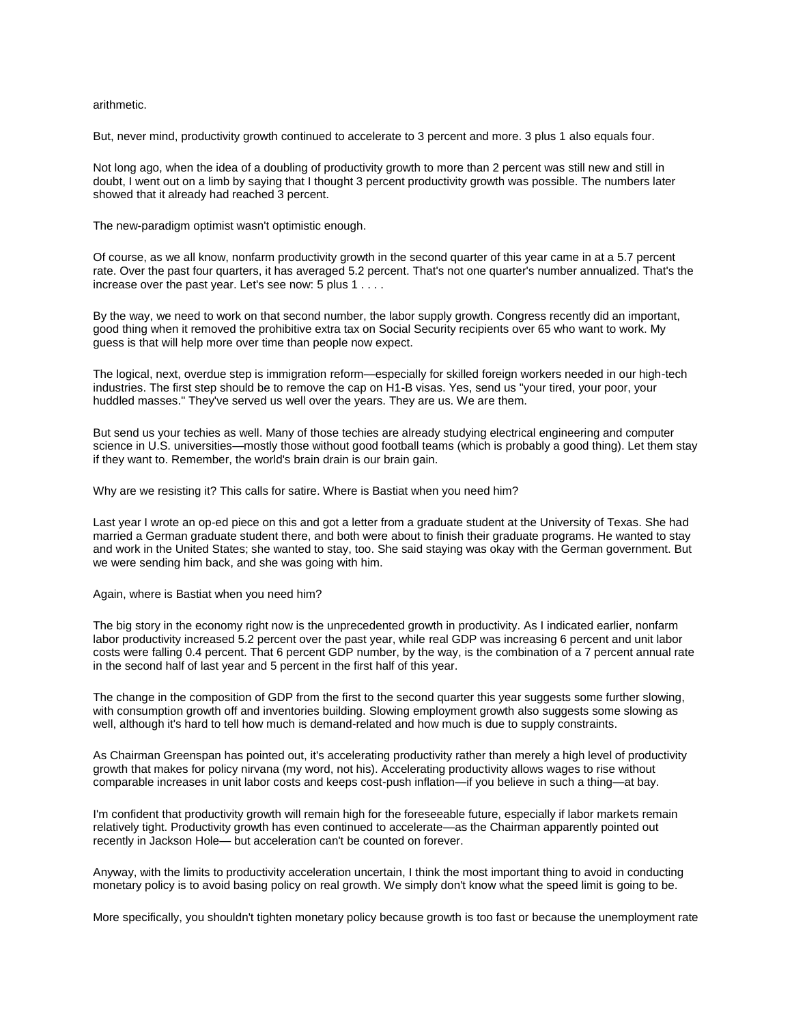## arithmetic.

But, never mind, productivity growth continued to accelerate to 3 percent and more. 3 plus 1 also equals four.

Not long ago, when the idea of a doubling of productivity growth to more than 2 percent was still new and still in doubt, I went out on a limb by saying that I thought 3 percent productivity growth was possible. The numbers later showed that it already had reached 3 percent.

The new-paradigm optimist wasn't optimistic enough.

Of course, as we all know, nonfarm productivity growth in the second quarter of this year came in at a 5.7 percent rate. Over the past four quarters, it has averaged 5.2 percent. That's not one quarter's number annualized. That's the increase over the past year. Let's see now: 5 plus 1 . . . .

By the way, we need to work on that second number, the labor supply growth. Congress recently did an important, good thing when it removed the prohibitive extra tax on Social Security recipients over 65 who want to work. My guess is that will help more over time than people now expect.

The logical, next, overdue step is immigration reform—especially for skilled foreign workers needed in our high-tech industries. The first step should be to remove the cap on H1-B visas. Yes, send us "your tired, your poor, your huddled masses." They've served us well over the years. They are us. We are them.

But send us your techies as well. Many of those techies are already studying electrical engineering and computer science in U.S. universities—mostly those without good football teams (which is probably a good thing). Let them stay if they want to. Remember, the world's brain drain is our brain gain.

Why are we resisting it? This calls for satire. Where is Bastiat when you need him?

Last year I wrote an op-ed piece on this and got a letter from a graduate student at the University of Texas. She had married a German graduate student there, and both were about to finish their graduate programs. He wanted to stay and work in the United States; she wanted to stay, too. She said staying was okay with the German government. But we were sending him back, and she was going with him.

Again, where is Bastiat when you need him?

The big story in the economy right now is the unprecedented growth in productivity. As I indicated earlier, nonfarm labor productivity increased 5.2 percent over the past year, while real GDP was increasing 6 percent and unit labor costs were falling 0.4 percent. That 6 percent GDP number, by the way, is the combination of a 7 percent annual rate in the second half of last year and 5 percent in the first half of this year.

The change in the composition of GDP from the first to the second quarter this year suggests some further slowing, with consumption growth off and inventories building. Slowing employment growth also suggests some slowing as well, although it's hard to tell how much is demand-related and how much is due to supply constraints.

As Chairman Greenspan has pointed out, it's accelerating productivity rather than merely a high level of productivity growth that makes for policy nirvana (my word, not his). Accelerating productivity allows wages to rise without comparable increases in unit labor costs and keeps cost-push inflation—if you believe in such a thing—at bay.

I'm confident that productivity growth will remain high for the foreseeable future, especially if labor markets remain relatively tight. Productivity growth has even continued to accelerate—as the Chairman apparently pointed out recently in Jackson Hole— but acceleration can't be counted on forever.

Anyway, with the limits to productivity acceleration uncertain, I think the most important thing to avoid in conducting monetary policy is to avoid basing policy on real growth. We simply don't know what the speed limit is going to be.

More specifically, you shouldn't tighten monetary policy because growth is too fast or because the unemployment rate